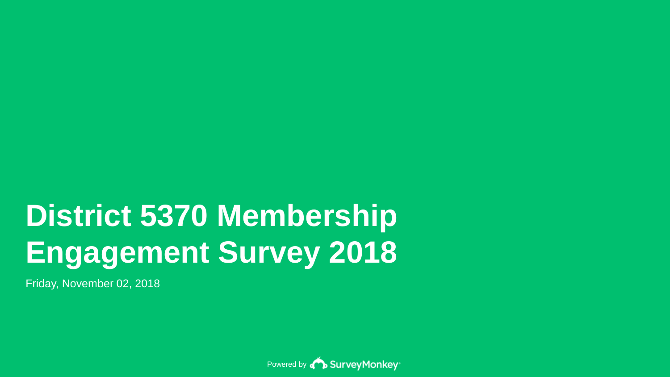# **District 5370 Membership Engagement Survey 2018**

Friday, November 02, 2018

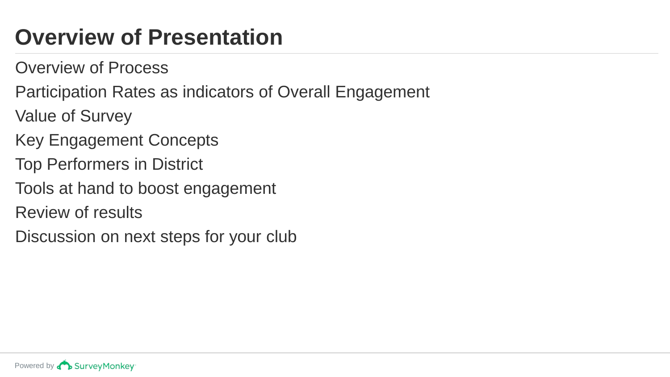# **Overview of Presentation**

- Overview of Process
- Participation Rates as indicators of Overall Engagement
- Value of Survey
- Key Engagement Concepts
- Top Performers in District
- Tools at hand to boost engagement
- Review of results
- Discussion on next steps for your club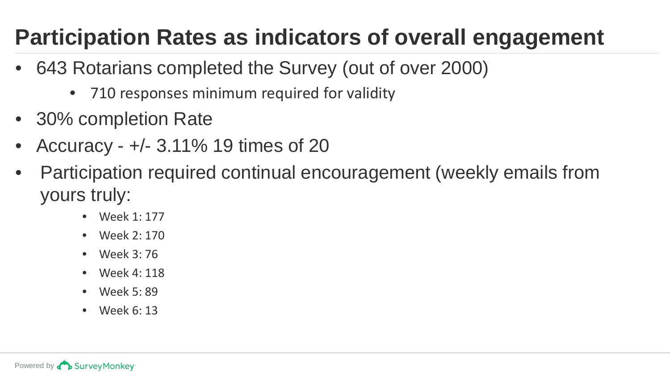# **Participation Rates as indicators of overall engagement**

- 643 Rotarians completed the Survey (out of over 2000)
	- 710 responses minimum required for validity
- 30% completion Rate
- Accuracy +/- 3.11% 19 times of 20
- Participation required continual encouragement (weekly emails from yours truly:
	- Week 1: 177
	- Week 2: 170
	- Week 3: 76
	- Week 4: 118
	- Week 5: 89
	- Week 6: 13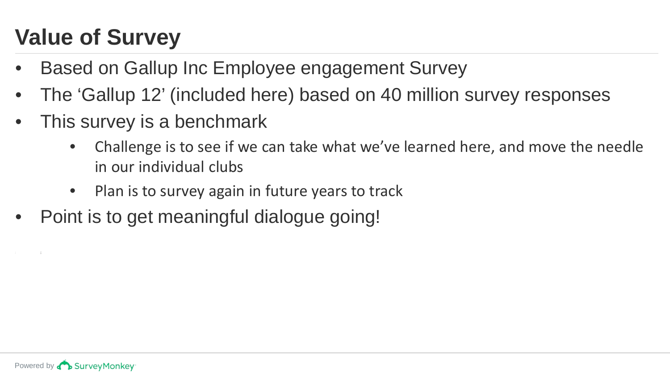# **Value of Survey**

- Based on Gallup Inc Employee engagement Survey
- The 'Gallup 12' (included here) based on 40 million survey responses
- This survey is a benchmark
	- Challenge is to see if we can take what we've learned here, and move the needle in our individual clubs
	- Plan is to survey again in future years to track
- Point is to get meaningful dialogue going!

• dd • gg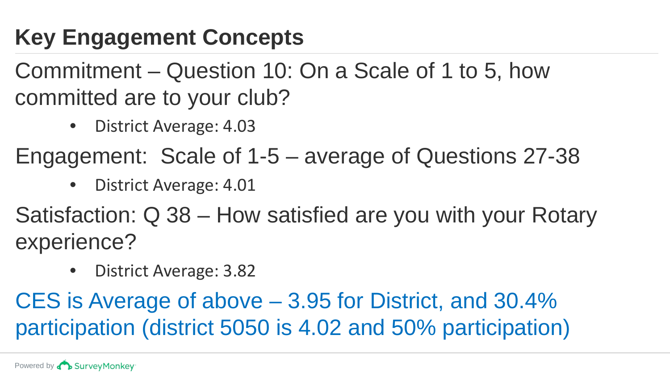# **Key Engagement Concepts**

Commitment – Question 10: On a Scale of 1 to 5, how committed are to your club?

• District Average: 4.03

Engagement: Scale of 1-5 – average of Questions 27-38

• District Average: 4.01

Satisfaction: Q 38 – How satisfied are you with your Rotary experience?

• District Average: 3.82

CES is Average of above – 3.95 for District, and 30.4% participation (district 5050 is 4.02 and 50% participation)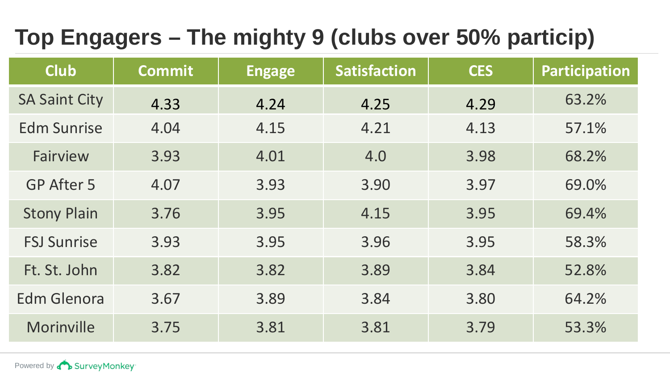# **Top Engagers – The mighty 9 (clubs over 50% particip)**

| <b>Club</b>          | <b>Commit</b> | <b>Engage</b> | <b>Satisfaction</b> | <b>CES</b> | <b>Participation</b> |
|----------------------|---------------|---------------|---------------------|------------|----------------------|
| <b>SA Saint City</b> | 4.33          | 4.24          | 4.25                | 4.29       | 63.2%                |
| <b>Edm Sunrise</b>   | 4.04          | 4.15          | 4.21                | 4.13       | 57.1%                |
| Fairview             | 3.93          | 4.01          | 4.0                 | 3.98       | 68.2%                |
| GP After 5           | 4.07          | 3.93          | 3.90                | 3.97       | 69.0%                |
| <b>Stony Plain</b>   | 3.76          | 3.95          | 4.15                | 3.95       | 69.4%                |
| <b>FSJ Sunrise</b>   | 3.93          | 3.95          | 3.96                | 3.95       | 58.3%                |
| Ft. St. John         | 3.82          | 3.82          | 3.89                | 3.84       | 52.8%                |
| Edm Glenora          | 3.67          | 3.89          | 3.84                | 3.80       | 64.2%                |
| Morinville           | 3.75          | 3.81          | 3.81                | 3.79       | 53.3%                |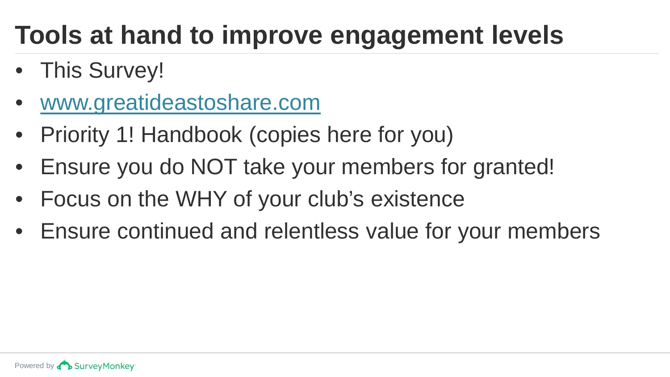# **Tools at hand to improve engagement levels**

- This Survey!
- [www.greatideastoshare.com](http://www.greatideastoshare.com/)
- Priority 1! Handbook (copies here for you)
- Ensure you do NOT take your members for granted!
- Focus on the WHY of your club's existence
- Ensure continued and relentless value for your members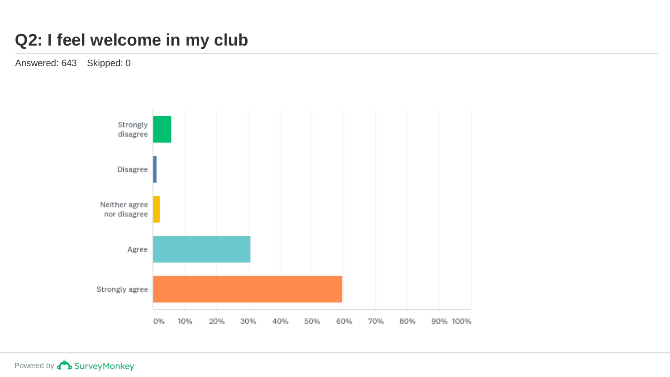#### **Q2: I feel welcome in my club**

Answered: 643 Skipped: 0



Powered by **Concey** Survey Monkey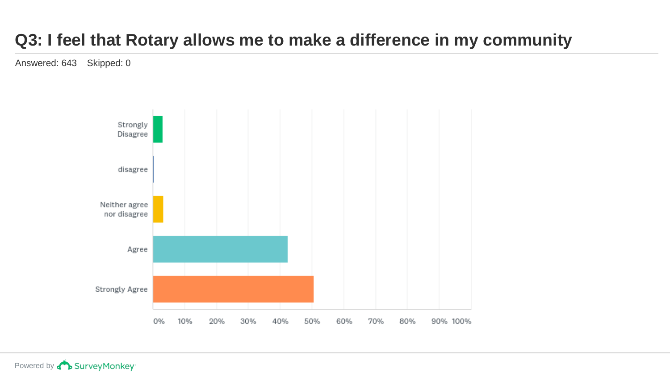# **Q3: I feel that Rotary allows me to make a difference in my community**

Answered: 643 Skipped: 0

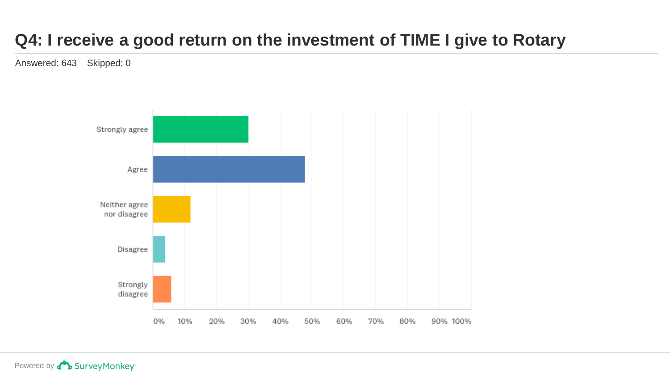# **Q4: I receive a good return on the investment of TIME I give to Rotary**

Answered: 643 Skipped: 0

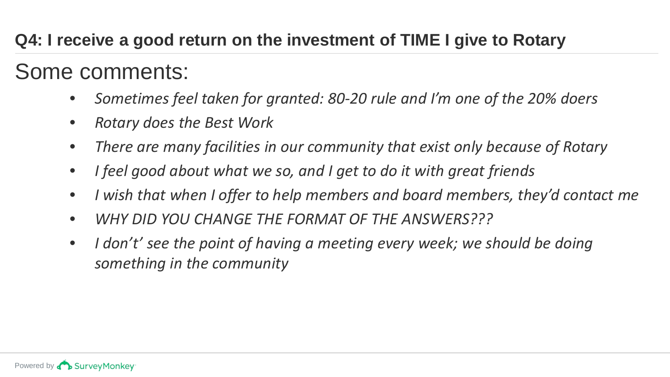# **Q4: I receive a good return on the investment of TIME I give to Rotary**

Some comments:

- *Sometimes feel taken for granted: 80-20 rule and I'm one of the 20% doers*
- *Rotary does the Best Work*
- *There are many facilities in our community that exist only because of Rotary*
- *I feel good about what we so, and I get to do it with great friends*
- *I wish that when I offer to help members and board members, they'd contact me*
- *WHY DID YOU CHANGE THE FORMAT OF THE ANSWERS???*
- *I don't' see the point of having a meeting every week; we should be doing something in the community*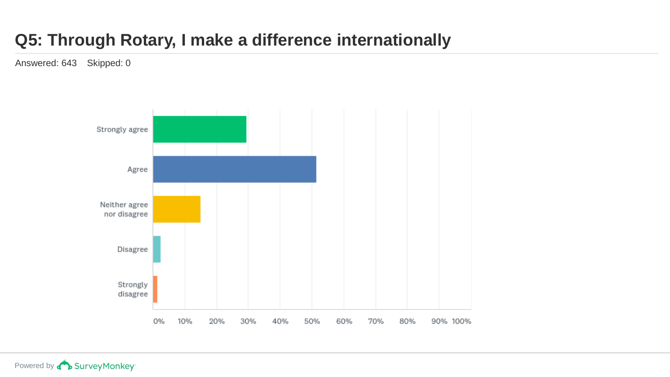# **Q5: Through Rotary, I make a difference internationally**

Answered: 643 Skipped: 0

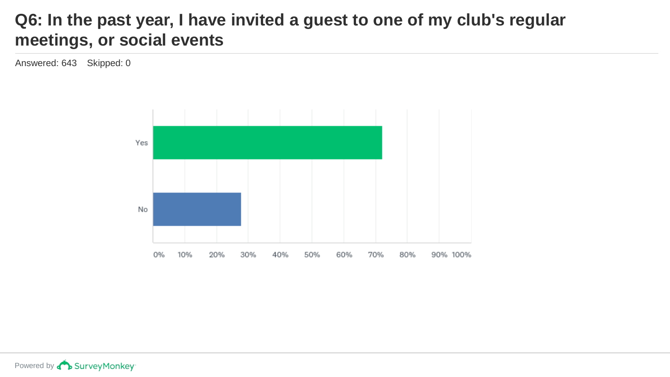#### **Q6: In the past year, I have invited a guest to one of my club's regular meetings, or social events**

Answered: 643 Skipped: 0

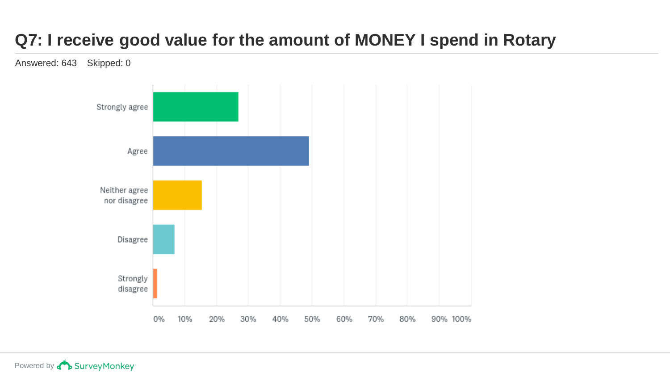# **Q7: I receive good value for the amount of MONEY I spend in Rotary**

Answered: 643 Skipped: 0

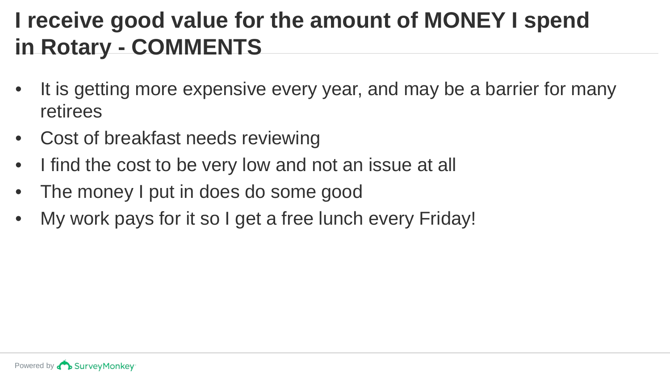# **I receive good value for the amount of MONEY I spend in Rotary - COMMENTS**

- It is getting more expensive every year, and may be a barrier for many retirees
- Cost of breakfast needs reviewing
- I find the cost to be very low and not an issue at all
- The money I put in does do some good
- My work pays for it so I get a free lunch every Friday!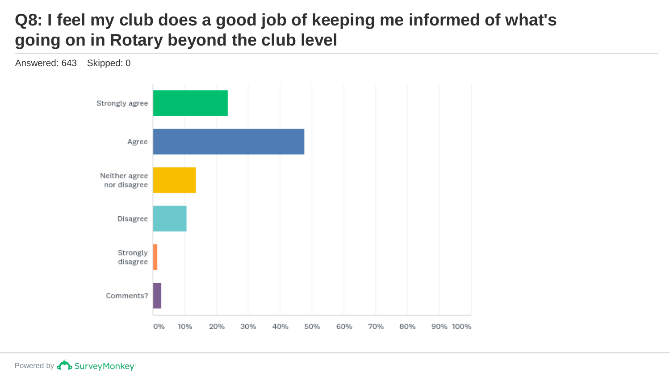### **Q8: I feel my club does a good job of keeping me informed of what's going on in Rotary beyond the club level**

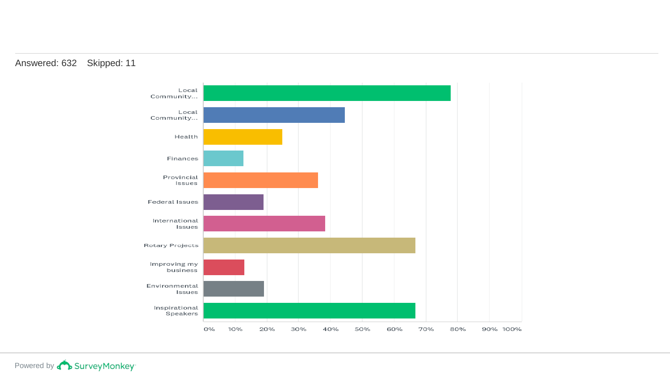

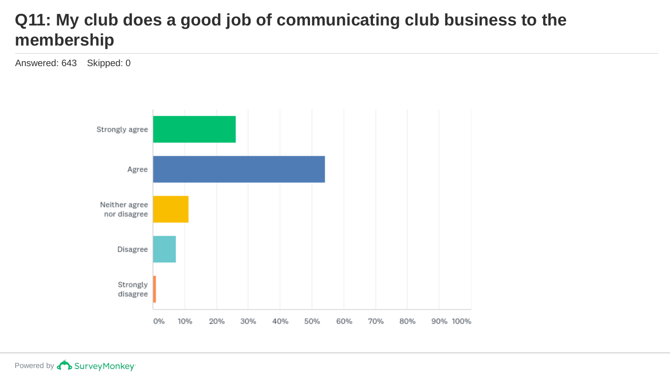#### **Q11: My club does a good job of communicating club business to the membership**

Answered: 643 Skipped: 0

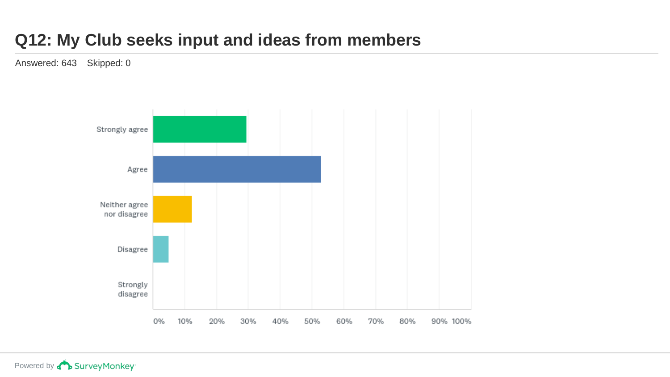#### **Q12: My Club seeks input and ideas from members**

Answered: 643 Skipped: 0

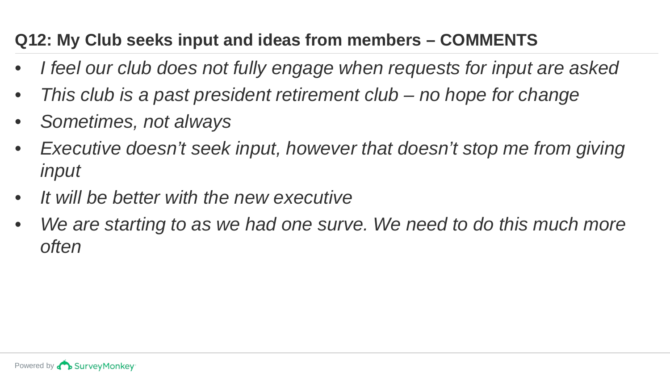# **Q12: My Club seeks input and ideas from members – COMMENTS**

- *I feel our club does not fully engage when requests for input are asked*
- *This club is a past president retirement club – no hope for change*
- *Sometimes, not always*
- *Executive doesn't seek input, however that doesn't stop me from giving input*
- *It will be better with the new executive*
- *We are starting to as we had one surve. We need to do this much more often*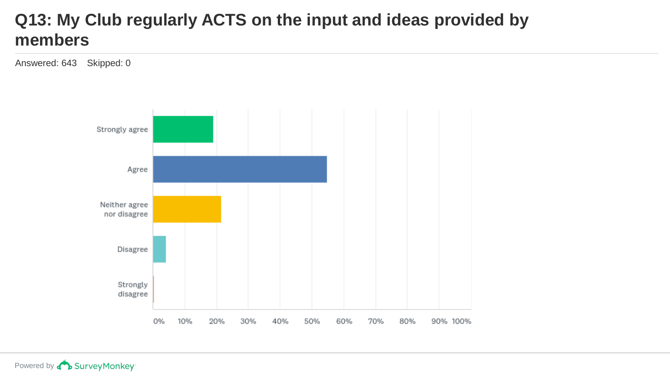#### **Q13: My Club regularly ACTS on the input and ideas provided by members**

Answered: 643 Skipped: 0

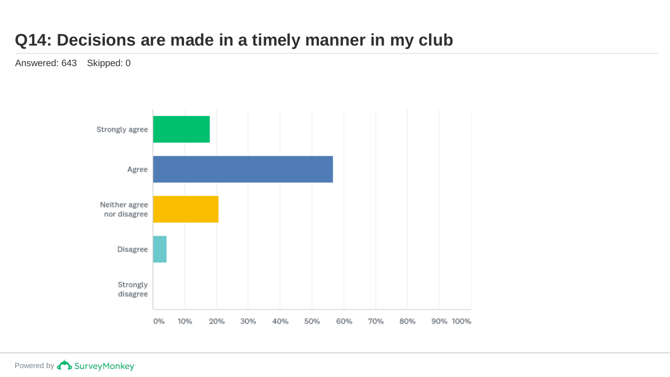### **Q14: Decisions are made in a timely manner in my club**

Answered: 643 Skipped: 0

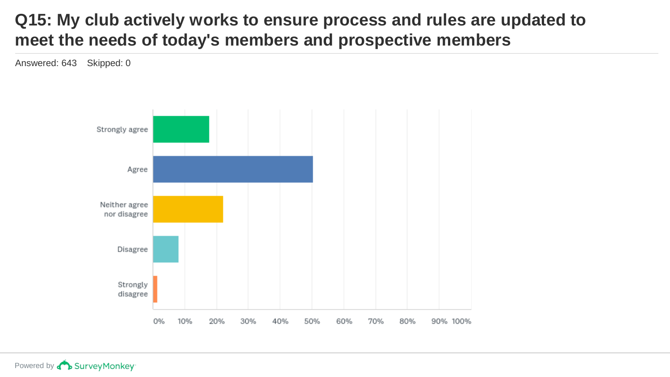#### **Q15: My club actively works to ensure process and rules are updated to meet the needs of today's members and prospective members**

Answered: 643 Skipped: 0

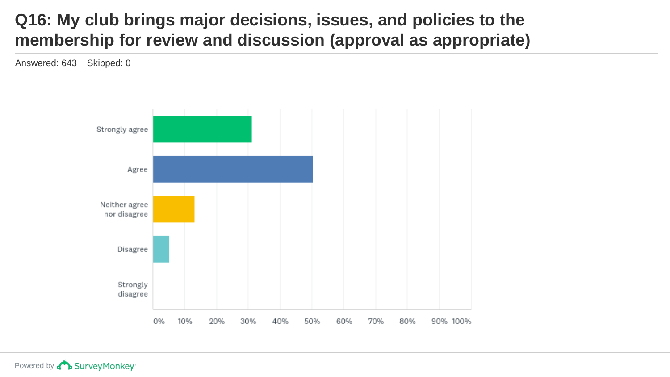#### **Q16: My club brings major decisions, issues, and policies to the membership for review and discussion (approval as appropriate)**

Answered: 643 Skipped: 0

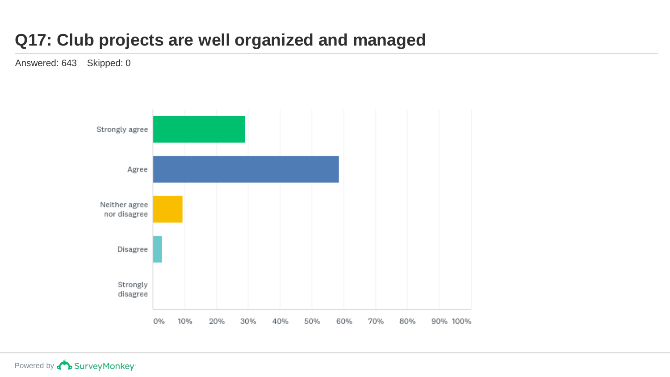# **Q17: Club projects are well organized and managed**

Answered: 643 Skipped: 0

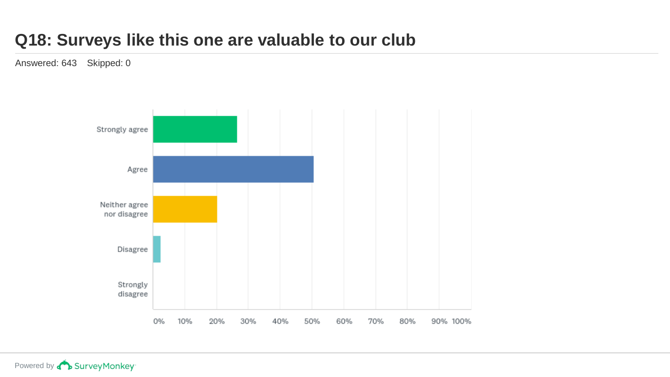#### **Q18: Surveys like this one are valuable to our club**

Answered: 643 Skipped: 0

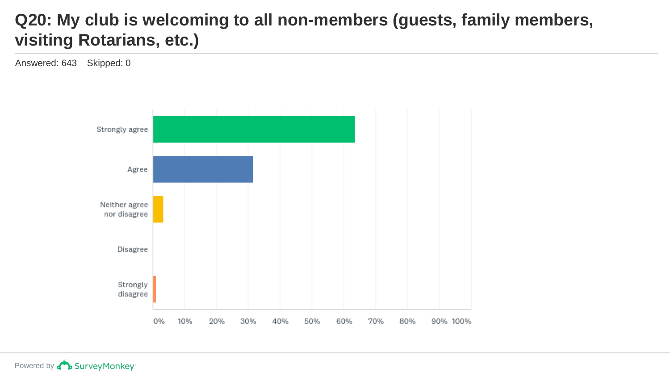### **Q20: My club is welcoming to all non-members (guests, family members, visiting Rotarians, etc.)**

Answered: 643 Skipped: 0

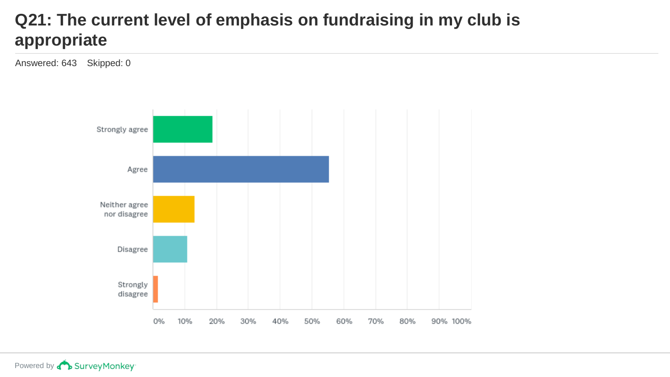## **Q21: The current level of emphasis on fundraising in my club is appropriate**

Answered: 643 Skipped: 0

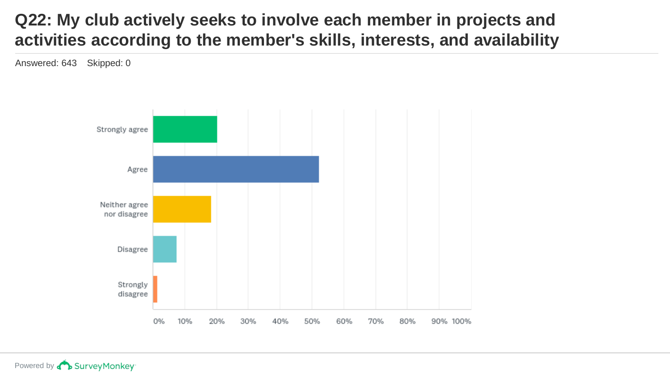#### **Q22: My club actively seeks to involve each member in projects and activities according to the member's skills, interests, and availability**

Answered: 643 Skipped: 0

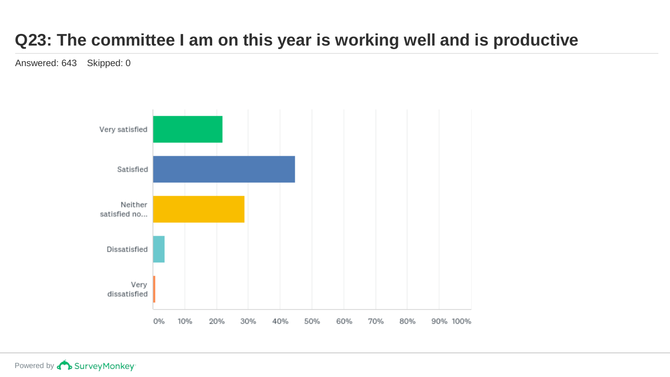# **Q23: The committee I am on this year is working well and is productive**

Answered: 643 Skipped: 0

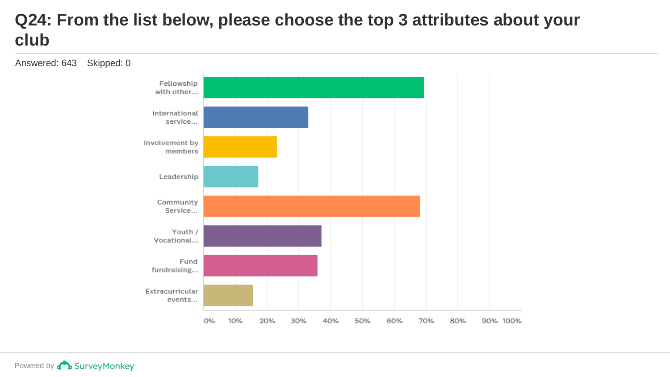#### **Q24: From the list below, please choose the top 3 attributes about your club**

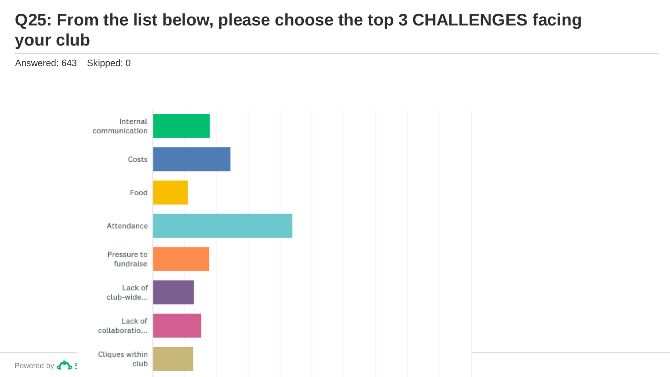### **Q25: From the list below, please choose the top 3 CHALLENGES facing your club**

Answered: 643 Skipped: 0

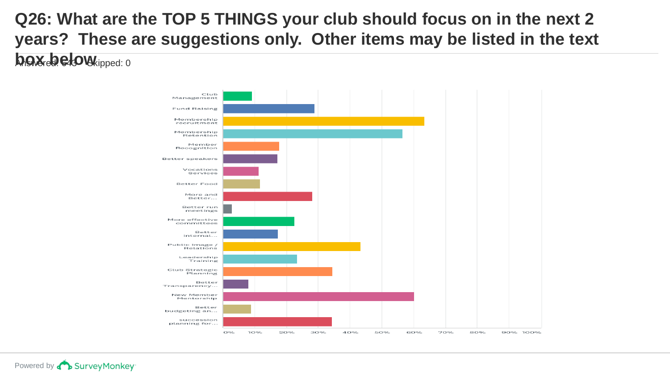# **Q26: What are the TOP 5 THINGS your club should focus on in the next 2 years? These are suggestions only. Other items may be listed in the text**

**box below** ipped: 0

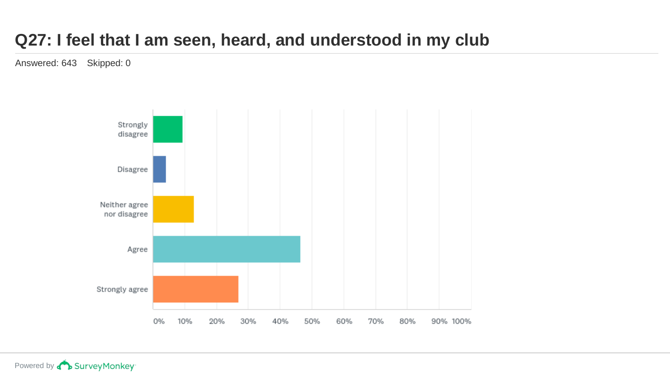#### **Q27: I feel that I am seen, heard, and understood in my club**

Answered: 643 Skipped: 0

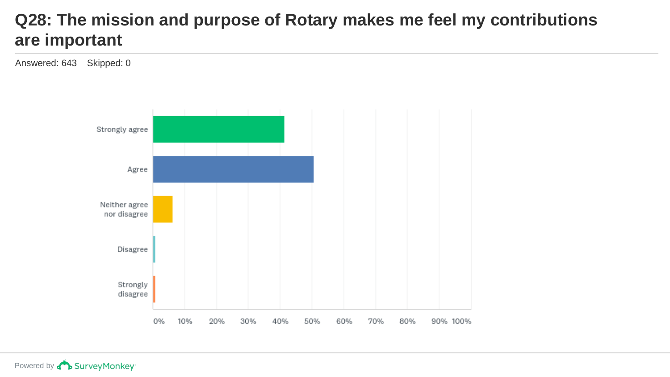#### **Q28: The mission and purpose of Rotary makes me feel my contributions are important**

Answered: 643 Skipped: 0

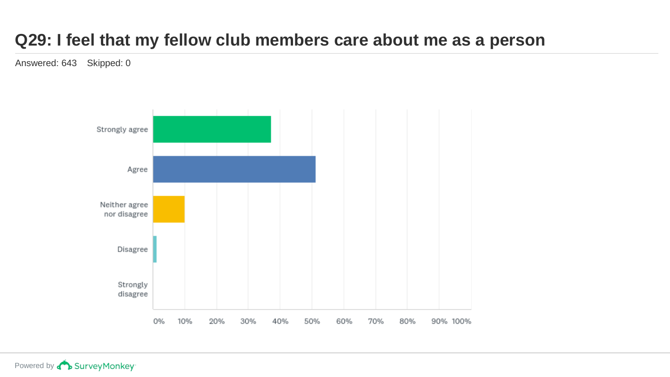#### **Q29: I feel that my fellow club members care about me as a person**

Answered: 643 Skipped: 0

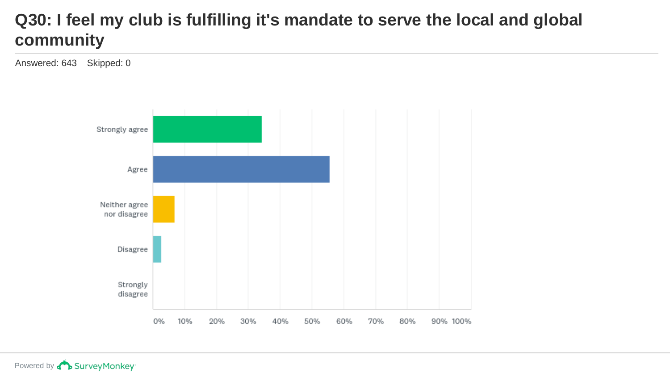### **Q30: I feel my club is fulfilling it's mandate to serve the local and global community**

Answered: 643 Skipped: 0

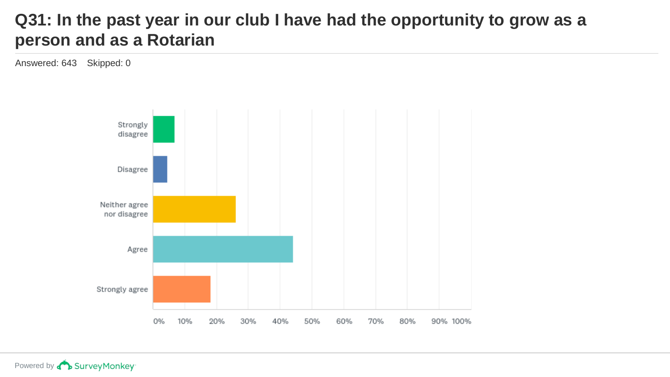#### **Q31: In the past year in our club I have had the opportunity to grow as a person and as a Rotarian**

Answered: 643 Skipped: 0

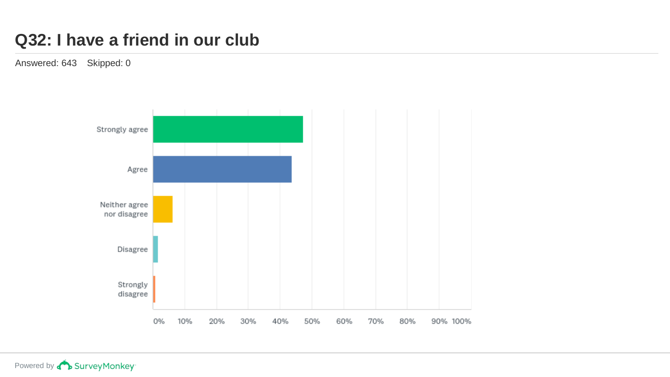#### **Q32: I have a friend in our club**

Answered: 643 Skipped: 0



Powered by **Concey** Survey Monkey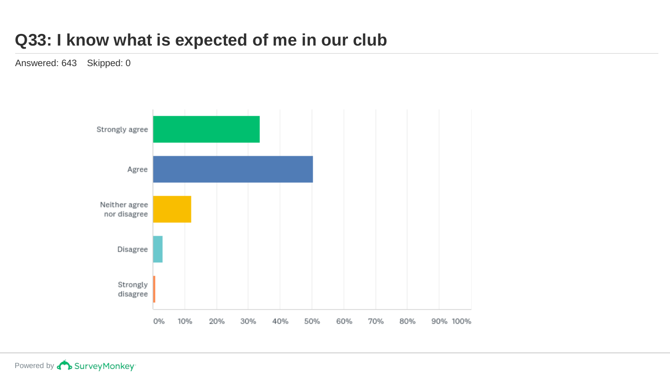#### **Q33: I know what is expected of me in our club**

Answered: 643 Skipped: 0

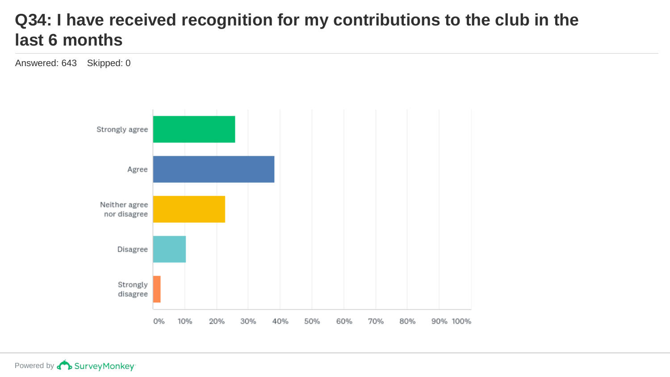#### **Q34: I have received recognition for my contributions to the club in the last 6 months**

Answered: 643 Skipped: 0

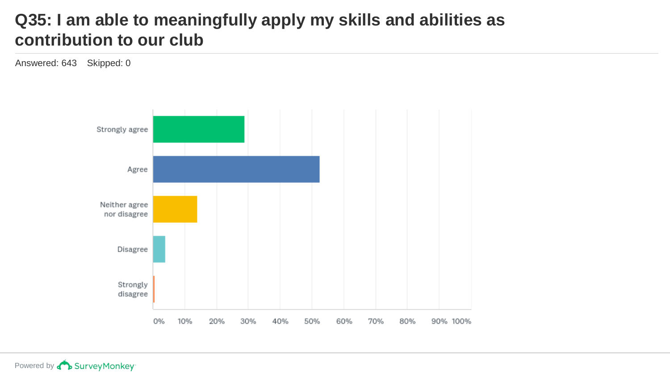#### **Q35: I am able to meaningfully apply my skills and abilities as contribution to our club**

Answered: 643 Skipped: 0

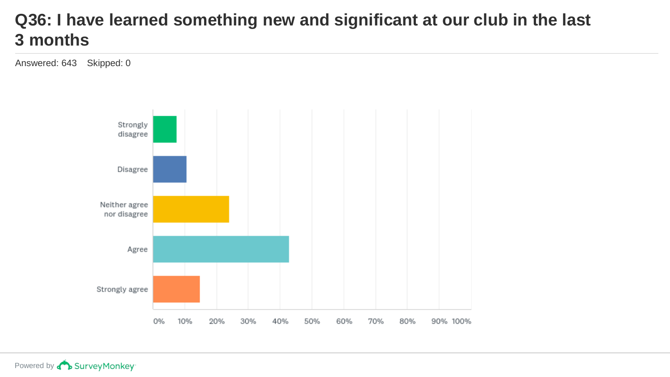#### **Q36: I have learned something new and significant at our club in the last 3 months**

Answered: 643 Skipped: 0

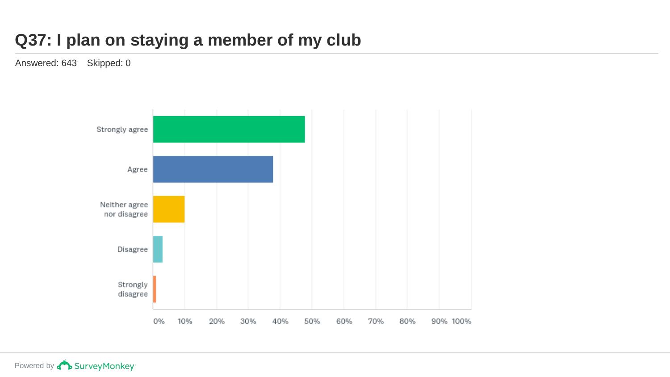### **Q37: I plan on staying a member of my club**

Answered: 643 Skipped: 0

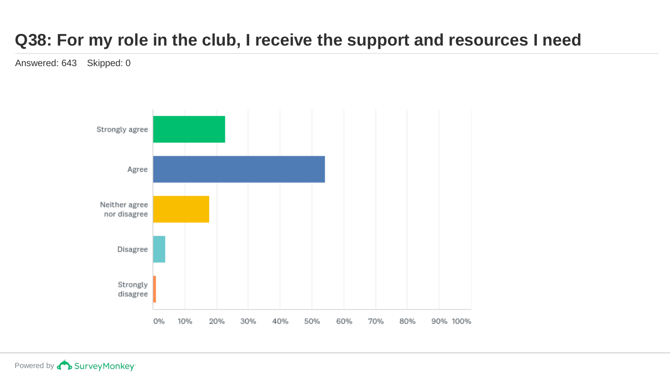# **Q38: For my role in the club, I receive the support and resources I need**

Answered: 643 Skipped: 0